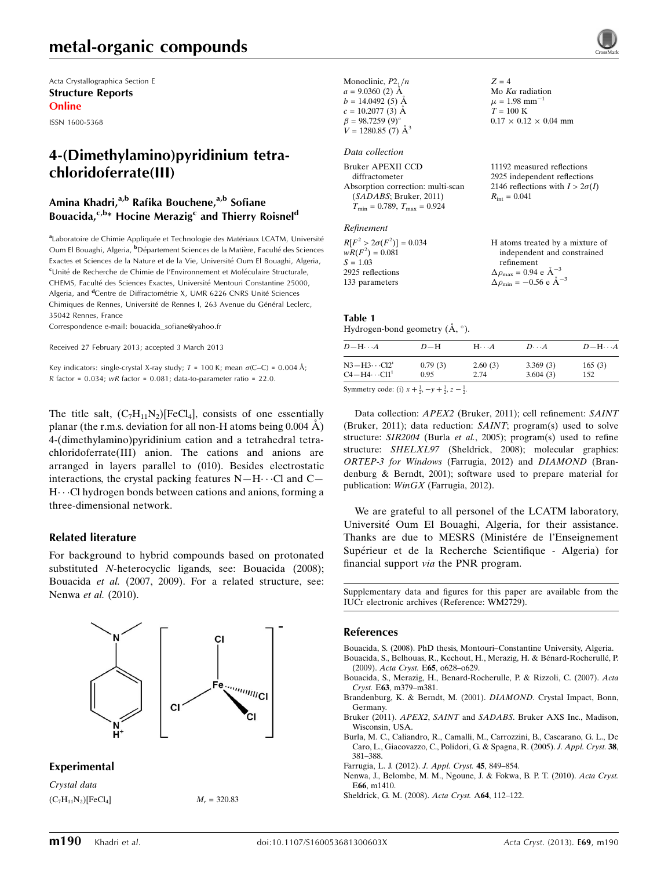# metal-organic compounds

Acta Crystallographica Section E Structure Reports Online

ISSN 1600-5368

# 4-(Dimethylamino)pyridinium tetrachloridoferrate(III)

#### Amina Khadri,<sup>a,b</sup> Rafika Bouchene,<sup>a,b</sup> Sofiane Bouacida,<sup>c,b\*</sup> Hocine Merazig<sup>c</sup> and Thierry Roisnel<sup>d</sup>

aLaboratoire de Chimie Appliquée et Technologie des Matériaux LCATM, Université Oum El Bouaghi, Algeria, <sup>b</sup>Département Sciences de la Matière, Faculté des Sciences Exactes et Sciences de la Nature et de la Vie, Université Oum El Bouaghi, Algeria, <sup>c</sup>Unité de Recherche de Chimie de l'Environnement et Moléculaire Structurale, CHEMS, Faculté des Sciences Exactes, Université Mentouri Constantine 25000, Algeria, and <sup>d</sup>Centre de Diffractométrie X, UMR 6226 CNRS Unité Sciences Chimiques de Rennes, Université de Rennes I, 263 Avenue du Général Leclerc, 35042 Rennes, France

Correspondence e-mail: [bouacida\\_sofiane@yahoo.fr](https://scripts.iucr.org/cgi-bin/cr.cgi?rm=pdfbb&cnor=wm2729&bbid=BB9)

Received 27 February 2013; accepted 3 March 2013

Key indicators: single-crystal X-ray study;  $T = 100$  K; mean  $\sigma$ (C–C) = 0.004 Å;  $R$  factor = 0.034; w $R$  factor = 0.081; data-to-parameter ratio = 22.0.

The title salt,  $(C_7H_{11}N_2)[FeCl_4]$ , consists of one essentially planar (the r.m.s. deviation for all non-H atoms being  $0.004 \text{ Å}$ ) 4-(dimethylamino)pyridinium cation and a tetrahedral tetrachloridoferrate(III) anion. The cations and anions are arranged in layers parallel to (010). Besides electrostatic interactions, the crystal packing features  $N-H\cdots$ Cl and C-H...Cl hydrogen bonds between cations and anions, forming a three-dimensional network.

#### Related literature

For background to hybrid compounds based on protonated substituted N-heterocyclic ligands, see: Bouacida (2008); Bouacida et al. (2007, 2009). For a related structure, see: Nenwa et al. (2010).



#### Experimental

Crystal data  $(C_7H_{11}N_2)[FeCl_4]$   $M_r = 320.83$  Monoclinic,  $P2_1/n$  $a = 9.0360$  (2) Å  $b = 14.0492(5)$  Å  $c = 10.2077$  (3) Å  $\beta = 98.7259(9)$ °  $V = 1280.85$  (7)  $\AA^3$  $Z = 4$ Mo  $K\alpha$  radiation  $\mu = 1.98$  mm<sup>-1</sup>  $T = 100 \text{ K}$  $0.17 \times 0.12 \times 0.04$  mm Data collection Bruker APEXII CCD diffractometer Absorption correction: multi-scan (SADABS; Bruker, 2011)  $T_{\text{min}} = 0.789, T_{\text{max}} = 0.924$ 11192 measured reflections 2925 independent reflections 2146 reflections with  $I > 2\sigma(I)$  $R_{\text{int}} = 0.041$ 

#### Refinement

| $R[F^2 > 2\sigma(F^2)] = 0.034$ | H atoms treated by a mixture of                    |
|---------------------------------|----------------------------------------------------|
| $wR(F^2) = 0.081$               | independent and constrained                        |
| $S = 1.03$                      | refinement                                         |
| 2925 reflections                | $\Delta \rho_{\text{max}} = 0.94 \text{ e A}^{-3}$ |
| 133 parameters                  | $\Delta \rho_{\text{min}} = -0.56$ e $\AA^{-3}$    |

#### Table 1

Hydrogen-bond geometry  $(\mathring{A}, \degree)$ .

 $D - H \cdots$  $D-H$ -- $A$   $D \cdots$  $A$   $D-M \cdots A$  $N3 - H3 \cdots$  $\begin{array}{lll} 0.79 & (3) & 2.60 & (3) & 3.369 & (3) & 165 & (3) \\ 0.95 & 2.74 & 3.604 & (3) & 152 & \end{array}$  $C4 - H4 \cdots$ 3.604 $(3)$ 

Symmetry code: (i)  $x + \frac{1}{2}, -y + \frac{1}{2}, z - \frac{1}{2}$ .

Data collection: APEX2 (Bruker, 2011); cell refinement: SAINT (Bruker, 2011); data reduction: SAINT; program(s) used to solve structure: SIR2004 (Burla et al., 2005); program(s) used to refine structure: SHELXL97 (Sheldrick, 2008); molecular graphics: ORTEP-3 for Windows (Farrugia, 2012) and DIAMOND (Brandenburg & Berndt, 2001); software used to prepare material for publication: WinGX (Farrugia, 2012).

We are grateful to all personel of the LCATM laboratory, Université Oum El Bouaghi, Algeria, for their assistance. Thanks are due to MESRS (Ministére de l'Enseignement Supérieur et de la Recherche Scientifique - Algeria) for financial support via the PNR program.

Supplementary data and figures for this paper are available from the IUCr electronic archives (Reference: WM2729).

#### References

[Bouacida, S. \(2008\). PhD thesis, Montouri–Constantine University, Algeria.](https://scripts.iucr.org/cgi-bin/cr.cgi?rm=pdfbb&cnor=wm2729&bbid=BB1) Bouacida, S., Belhouas, R., Kechout, H., Merazig, H. & Bénard-Rocherullé, P.

(2009). Acta Cryst. E65[, o628–o629.](https://scripts.iucr.org/cgi-bin/cr.cgi?rm=pdfbb&cnor=wm2729&bbid=BB2)

- [Bouacida, S., Merazig, H., Benard-Rocherulle, P. & Rizzoli, C. \(2007\).](https://scripts.iucr.org/cgi-bin/cr.cgi?rm=pdfbb&cnor=wm2729&bbid=BB3) Acta Cryst. E63[, m379–m381.](https://scripts.iucr.org/cgi-bin/cr.cgi?rm=pdfbb&cnor=wm2729&bbid=BB3)
- [Brandenburg, K. & Berndt, M. \(2001\).](https://scripts.iucr.org/cgi-bin/cr.cgi?rm=pdfbb&cnor=wm2729&bbid=BB4) DIAMOND. Crystal Impact, Bonn, [Germany.](https://scripts.iucr.org/cgi-bin/cr.cgi?rm=pdfbb&cnor=wm2729&bbid=BB4)
- Bruker (2011). APEX2, SAINT and SADABS[. Bruker AXS Inc., Madison,](https://scripts.iucr.org/cgi-bin/cr.cgi?rm=pdfbb&cnor=wm2729&bbid=BB5) [Wisconsin, USA.](https://scripts.iucr.org/cgi-bin/cr.cgi?rm=pdfbb&cnor=wm2729&bbid=BB5)
- [Burla, M. C., Caliandro, R., Camalli, M., Carrozzini, B., Cascarano, G. L., De](https://scripts.iucr.org/cgi-bin/cr.cgi?rm=pdfbb&cnor=wm2729&bbid=BB6) [Caro, L., Giacovazzo, C., Polidori, G. & Spagna, R. \(2005\).](https://scripts.iucr.org/cgi-bin/cr.cgi?rm=pdfbb&cnor=wm2729&bbid=BB6) J. Appl. Cryst. 38, [381–388.](https://scripts.iucr.org/cgi-bin/cr.cgi?rm=pdfbb&cnor=wm2729&bbid=BB6)
- [Farrugia, L. J. \(2012\).](https://scripts.iucr.org/cgi-bin/cr.cgi?rm=pdfbb&cnor=wm2729&bbid=BB7) J. Appl. Cryst. 45, 849–854.
- [Nenwa, J., Belombe, M. M., Ngoune, J. & Fokwa, B. P. T. \(2010\).](https://scripts.iucr.org/cgi-bin/cr.cgi?rm=pdfbb&cnor=wm2729&bbid=BB8) Acta Cryst. E66[, m1410.](https://scripts.iucr.org/cgi-bin/cr.cgi?rm=pdfbb&cnor=wm2729&bbid=BB8)
- [Sheldrick, G. M. \(2008\).](https://scripts.iucr.org/cgi-bin/cr.cgi?rm=pdfbb&cnor=wm2729&bbid=BB9) Acta Cryst. A64, 112–122.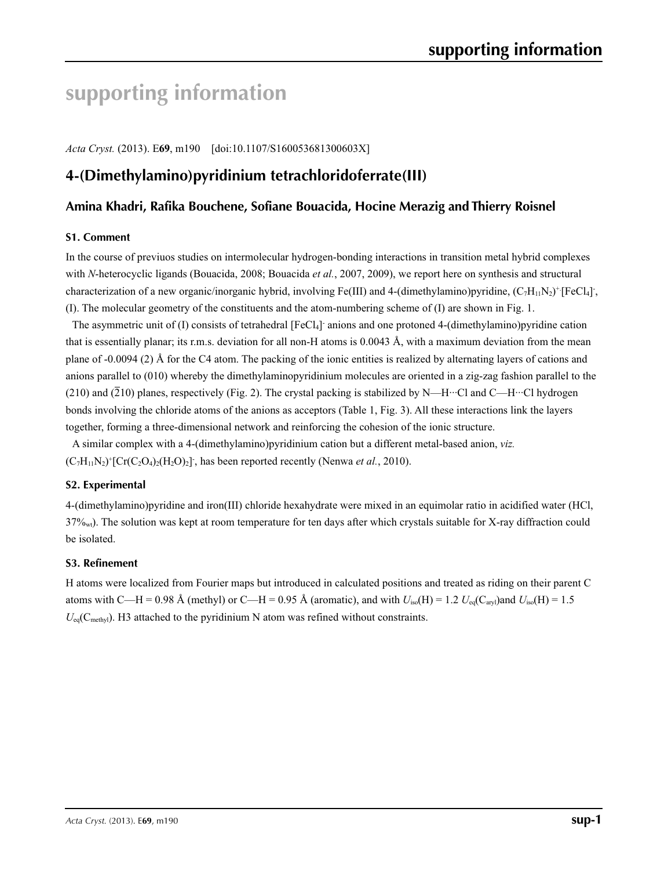# **supporting information**

*Acta Cryst.* (2013). E**69**, m190 [doi:10.1107/S160053681300603X]

# **4-(Dimethylamino)pyridinium tetrachloridoferrate(III)**

### **Amina Khadri, Rafika Bouchene, Sofiane Bouacida, Hocine Merazig and Thierry Roisnel**

#### **S1. Comment**

In the course of previuos studies on intermolecular hydrogen-bonding interactions in transition metal hybrid complexes with *N*-heterocyclic ligands (Bouacida, 2008; Bouacida *et al.*, 2007, 2009), we report here on synthesis and structural characterization of a new organic/inorganic hybrid, involving Fe(III) and 4-(dimethylamino)pyridine,  $(C_7H_{11}N_2)^+$ [FeCl<sub>4</sub>], (I). The molecular geometry of the constituents and the atom-numbering scheme of (I) are shown in Fig. 1.

The asymmetric unit of (I) consists of tetrahedral [FeCl<sub>4</sub>] anions and one protoned 4-(dimethylamino)pyridine cation that is essentially planar; its r.m.s. deviation for all non-H atoms is  $0.0043 \text{ Å}$ , with a maximum deviation from the mean plane of -0.0094 (2) Å for the C4 atom. The packing of the ionic entities is realized by alternating layers of cations and anions parallel to (010) whereby the dimethylaminopyridinium molecules are oriented in a zig-zag fashion parallel to the (210) and  $(210)$  planes, respectively (Fig. 2). The crystal packing is stabilized by N—H…Cl and C—H…Cl hydrogen bonds involving the chloride atoms of the anions as acceptors (Table 1, Fig. 3). All these interactions link the layers together, forming a three-dimensional network and reinforcing the cohesion of the ionic structure.

A similar complex with a 4-(dimethylamino)pyridinium cation but a different metal-based anion, *viz.*  $(C_7H_{11}N_2)^+$ [Cr(C<sub>2</sub>O<sub>4</sub>)<sub>2</sub>(H<sub>2</sub>O)<sub>2</sub>], has been reported recently (Nenwa *et al.*, 2010).

#### **S2. Experimental**

4-(dimethylamino)pyridine and iron(III) chloride hexahydrate were mixed in an equimolar ratio in acidified water (HCl, 37%wt). The solution was kept at room temperature for ten days after which crystals suitable for X-ray diffraction could be isolated.

#### **S3. Refinement**

H atoms were localized from Fourier maps but introduced in calculated positions and treated as riding on their parent C atoms with C—H = 0.98 Å (methyl) or C—H = 0.95 Å (aromatic), and with  $U_{iso}(H) = 1.2 U_{eq}(C_{\text{av}})$ and  $U_{iso}(H) = 1.5$  $U_{eq}(C_{\text{methyl}})$ . H3 attached to the pyridinium N atom was refined without constraints.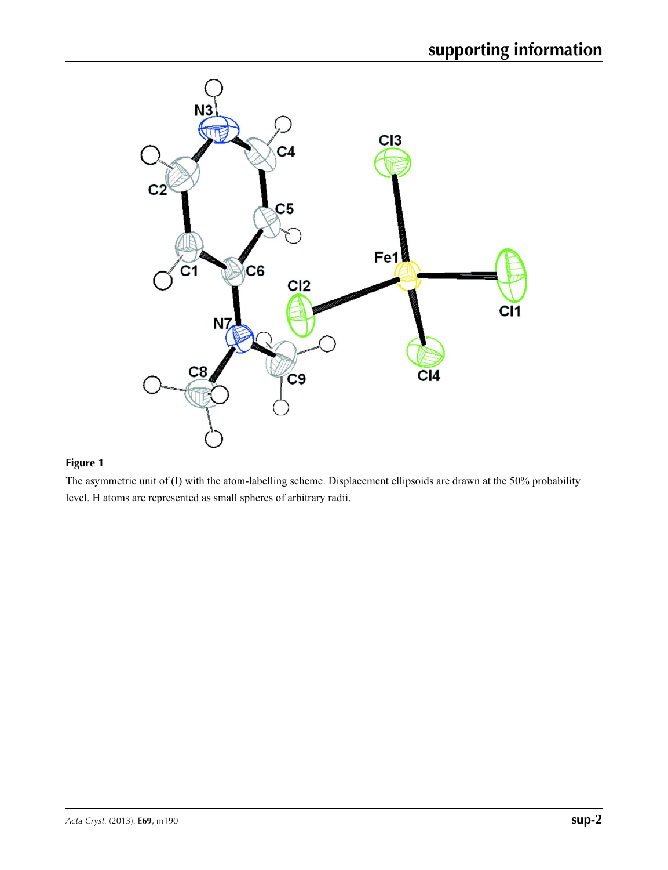

## **Figure 1**

The asymmetric unit of (I) with the atom-labelling scheme. Displacement ellipsoids are drawn at the 50% probability level. H atoms are represented as small spheres of arbitrary radii.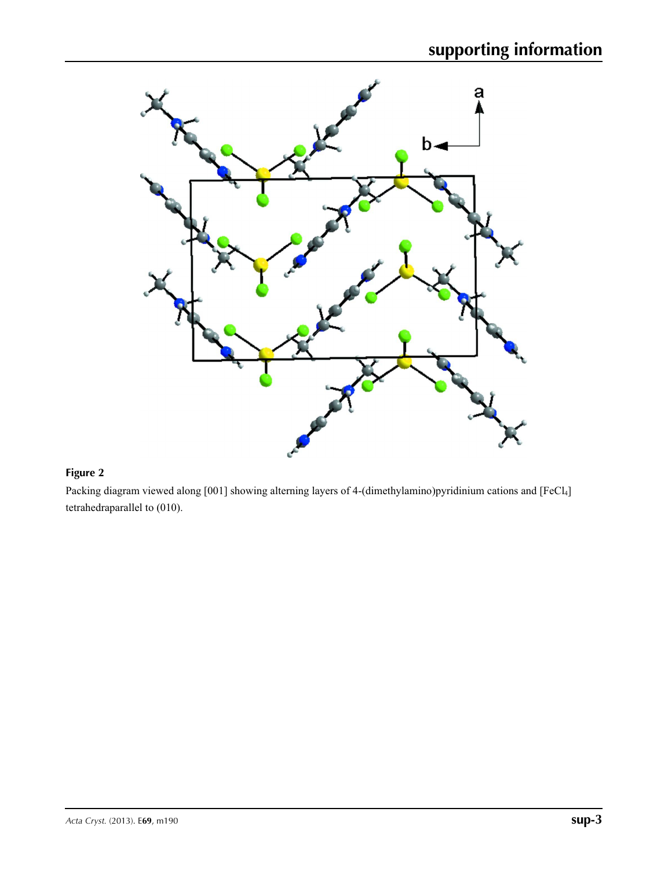

# **Figure 2**

Packing diagram viewed along [001] showing alterning layers of 4-(dimethylamino)pyridinium cations and [FeCl<sub>4</sub>] tetrahedraparallel to (010).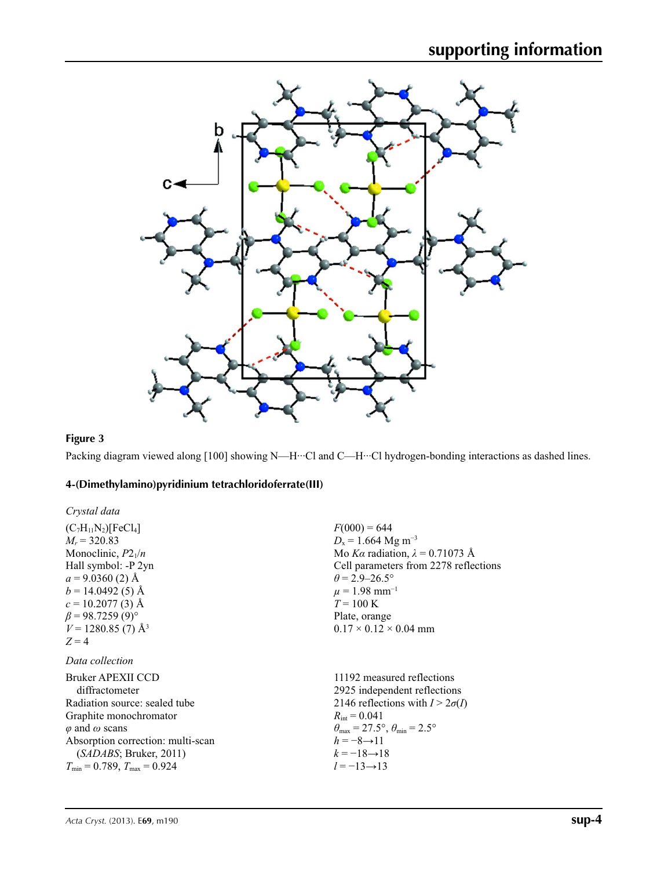

## **Figure 3**

Packing diagram viewed along [100] showing N—H···Cl and C—H···Cl hydrogen-bonding interactions as dashed lines.

## **4-(Dimethylamino)pyridinium tetrachloridoferrate(III)**

| Crystal data                           |                                                                         |
|----------------------------------------|-------------------------------------------------------------------------|
| $(C_7H_{11}N_2)[FeCl_4]$               | $F(000) = 644$                                                          |
| $M_r = 320.83$                         | $D_x = 1.664$ Mg m <sup>-3</sup>                                        |
| Monoclinic, $P2_1/n$                   | Mo Ka radiation, $\lambda = 0.71073$ Å                                  |
| Hall symbol: -P 2yn                    | Cell parameters from 2278 reflections                                   |
| $a = 9.0360(2)$ Å                      | $\theta$ = 2.9–26.5°                                                    |
| $b = 14.0492(5)$ Å                     | $\mu = 1.98$ mm <sup>-1</sup>                                           |
| $c = 10.2077(3)$ Å                     | $T = 100 \text{ K}$                                                     |
| $\beta$ = 98.7259 (9)°                 | Plate, orange                                                           |
| $V = 1280.85(7)$ Å <sup>3</sup>        | $0.17 \times 0.12 \times 0.04$ mm                                       |
| $Z=4$                                  |                                                                         |
| Data collection                        |                                                                         |
| Bruker APEXII CCD                      | 11192 measured reflections                                              |
| diffractometer                         | 2925 independent reflections                                            |
| Radiation source: sealed tube          | 2146 reflections with $I > 2\sigma(I)$                                  |
| Graphite monochromator                 | $R_{\rm int} = 0.041$                                                   |
| $\varphi$ and $\omega$ scans           | $\theta_{\text{max}} = 27.5^{\circ}, \theta_{\text{min}} = 2.5^{\circ}$ |
| Absorption correction: multi-scan      | $h = -8 \rightarrow 11$                                                 |
| (SADABS; Bruker, 2011)                 | $k = -18 \rightarrow 18$                                                |
| $T_{\min}$ = 0.789, $T_{\max}$ = 0.924 | $l = -13 \rightarrow 13$                                                |
|                                        |                                                                         |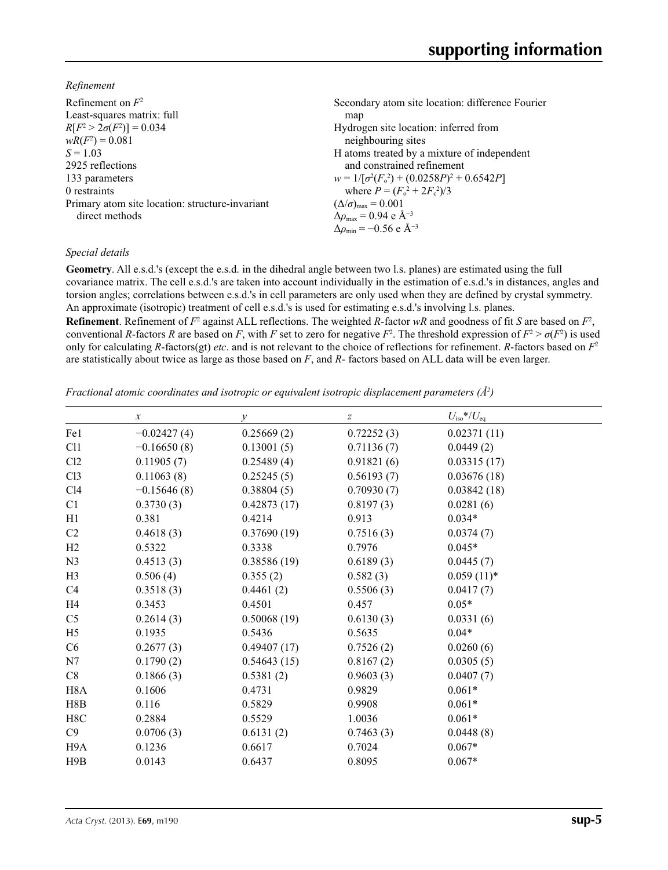*Refinement*

| Secondary atom site location: difference Fourier   |
|----------------------------------------------------|
| map                                                |
| Hydrogen site location: inferred from              |
| neighbouring sites                                 |
| H atoms treated by a mixture of independent        |
| and constrained refinement                         |
| $w = 1/[\sigma^2(F_0^2) + (0.0258P)^2 + 0.6542P]$  |
| where $P = (F_0^2 + 2F_c^2)/3$                     |
| $(\Delta/\sigma)_{\text{max}} = 0.001$             |
| $\Delta\rho_{\text{max}} = 0.94$ e Å <sup>-3</sup> |
| $\Delta\rho_{\rm min} = -0.56$ e Å <sup>-3</sup>   |
|                                                    |

#### *Special details*

**Geometry**. All e.s.d.'s (except the e.s.d. in the dihedral angle between two l.s. planes) are estimated using the full covariance matrix. The cell e.s.d.'s are taken into account individually in the estimation of e.s.d.'s in distances, angles and torsion angles; correlations between e.s.d.'s in cell parameters are only used when they are defined by crystal symmetry. An approximate (isotropic) treatment of cell e.s.d.'s is used for estimating e.s.d.'s involving l.s. planes.

**Refinement**. Refinement of  $F^2$  against ALL reflections. The weighted R-factor wR and goodness of fit *S* are based on  $F^2$ , conventional *R*-factors *R* are based on *F*, with *F* set to zero for negative  $F^2$ . The threshold expression of  $F^2 > \sigma(F^2)$  is used only for calculating *R*-factors(gt) *etc*. and is not relevant to the choice of reflections for refinement. *R*-factors based on *F*<sup>2</sup> are statistically about twice as large as those based on *F*, and *R*- factors based on ALL data will be even larger.

*Fractional atomic coordinates and isotropic or equivalent isotropic displacement parameters (Å<sup>2</sup>)* 

|                  | $\boldsymbol{\chi}$ | $\mathcal{Y}$ | $\boldsymbol{z}$ | $U_{\rm iso}*/U_{\rm eq}$ |  |
|------------------|---------------------|---------------|------------------|---------------------------|--|
| Fe1              | $-0.02427(4)$       | 0.25669(2)    | 0.72252(3)       | 0.02371(11)               |  |
| C11              | $-0.16650(8)$       | 0.13001(5)    | 0.71136(7)       | 0.0449(2)                 |  |
| Cl2              | 0.11905(7)          | 0.25489(4)    | 0.91821(6)       | 0.03315(17)               |  |
| Cl <sub>3</sub>  | 0.11063(8)          | 0.25245(5)    | 0.56193(7)       | 0.03676(18)               |  |
| C14              | $-0.15646(8)$       | 0.38804(5)    | 0.70930(7)       | 0.03842(18)               |  |
| C <sub>1</sub>   | 0.3730(3)           | 0.42873(17)   | 0.8197(3)        | 0.0281(6)                 |  |
| H1               | 0.381               | 0.4214        | 0.913            | $0.034*$                  |  |
| C <sub>2</sub>   | 0.4618(3)           | 0.37690(19)   | 0.7516(3)        | 0.0374(7)                 |  |
| H2               | 0.5322              | 0.3338        | 0.7976           | $0.045*$                  |  |
| N <sub>3</sub>   | 0.4513(3)           | 0.38586(19)   | 0.6189(3)        | 0.0445(7)                 |  |
| H <sub>3</sub>   | 0.506(4)            | 0.355(2)      | 0.582(3)         | $0.059(11)*$              |  |
| C <sub>4</sub>   | 0.3518(3)           | 0.4461(2)     | 0.5506(3)        | 0.0417(7)                 |  |
| H <sub>4</sub>   | 0.3453              | 0.4501        | 0.457            | $0.05*$                   |  |
| C <sub>5</sub>   | 0.2614(3)           | 0.50068(19)   | 0.6130(3)        | 0.0331(6)                 |  |
| H <sub>5</sub>   | 0.1935              | 0.5436        | 0.5635           | $0.04*$                   |  |
| C6               | 0.2677(3)           | 0.49407(17)   | 0.7526(2)        | 0.0260(6)                 |  |
| N7               | 0.1790(2)           | 0.54643(15)   | 0.8167(2)        | 0.0305(5)                 |  |
| C8               | 0.1866(3)           | 0.5381(2)     | 0.9603(3)        | 0.0407(7)                 |  |
| H <sub>8</sub> A | 0.1606              | 0.4731        | 0.9829           | $0.061*$                  |  |
| H8B              | 0.116               | 0.5829        | 0.9908           | $0.061*$                  |  |
| H8C              | 0.2884              | 0.5529        | 1.0036           | $0.061*$                  |  |
| C9               | 0.0706(3)           | 0.6131(2)     | 0.7463(3)        | 0.0448(8)                 |  |
| H <sub>9</sub> A | 0.1236              | 0.6617        | 0.7024           | $0.067*$                  |  |
| H9B              | 0.0143              | 0.6437        | 0.8095           | $0.067*$                  |  |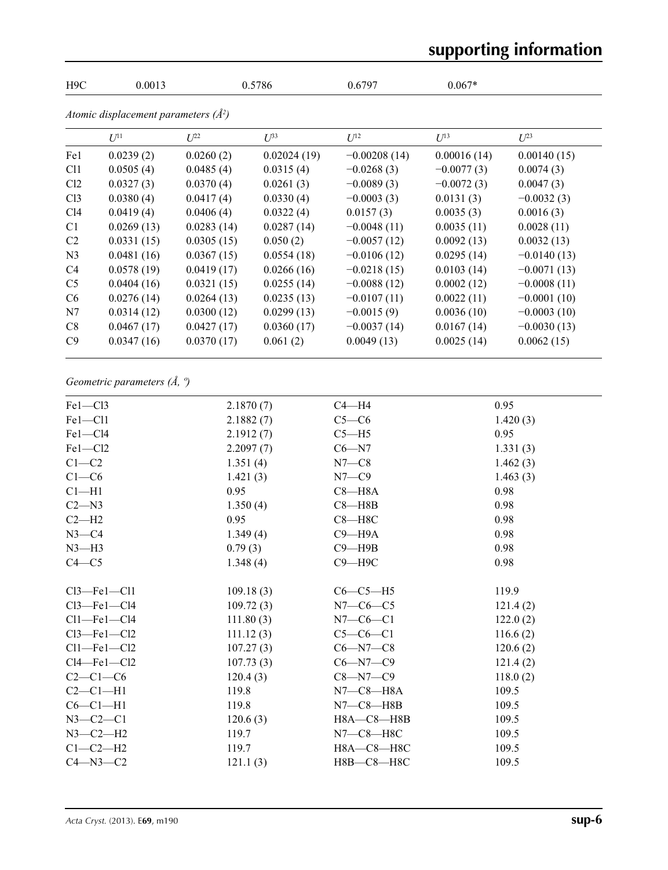# **supporting information**

| H9C             | 0.0013                                 |            | 0.5786      | 0.6797         | $0.067*$     |               |  |
|-----------------|----------------------------------------|------------|-------------|----------------|--------------|---------------|--|
|                 | Atomic displacement parameters $(A^2)$ |            |             |                |              |               |  |
|                 | $U^{11}$                               | $U^{22}$   | $U^{33}$    | $U^{12}$       | $U^{13}$     | $U^{23}$      |  |
| Fe1             | 0.0239(2)                              | 0.0260(2)  | 0.02024(19) | $-0.00208(14)$ | 0.00016(14)  | 0.00140(15)   |  |
| C <sub>11</sub> | 0.0505(4)                              | 0.0485(4)  | 0.0315(4)   | $-0.0268(3)$   | $-0.0077(3)$ | 0.0074(3)     |  |
| Cl <sub>2</sub> | 0.0327(3)                              | 0.0370(4)  | 0.0261(3)   | $-0.0089(3)$   | $-0.0072(3)$ | 0.0047(3)     |  |
| Cl <sub>3</sub> | 0.0380(4)                              | 0.0417(4)  | 0.0330(4)   | $-0.0003(3)$   | 0.0131(3)    | $-0.0032(3)$  |  |
| C14             | 0.0419(4)                              | 0.0406(4)  | 0.0322(4)   | 0.0157(3)      | 0.0035(3)    | 0.0016(3)     |  |
| C1              | 0.0269(13)                             | 0.0283(14) | 0.0287(14)  | $-0.0048(11)$  | 0.0035(11)   | 0.0028(11)    |  |
| C <sub>2</sub>  | 0.0331(15)                             | 0.0305(15) | 0.050(2)    | $-0.0057(12)$  | 0.0092(13)   | 0.0032(13)    |  |
| N <sub>3</sub>  | 0.0481(16)                             | 0.0367(15) | 0.0554(18)  | $-0.0106(12)$  | 0.0295(14)   | $-0.0140(13)$ |  |
| C <sub>4</sub>  | 0.0578(19)                             | 0.0419(17) | 0.0266(16)  | $-0.0218(15)$  | 0.0103(14)   | $-0.0071(13)$ |  |
| C <sub>5</sub>  | 0.0404(16)                             | 0.0321(15) | 0.0255(14)  | $-0.0088(12)$  | 0.0002(12)   | $-0.0008(11)$ |  |
| C <sub>6</sub>  | 0.0276(14)                             | 0.0264(13) | 0.0235(13)  | $-0.0107(11)$  | 0.0022(11)   | $-0.0001(10)$ |  |
| N7              | 0.0314(12)                             | 0.0300(12) | 0.0299(13)  | $-0.0015(9)$   | 0.0036(10)   | $-0.0003(10)$ |  |
| C8              | 0.0467(17)                             | 0.0427(17) | 0.0360(17)  | $-0.0037(14)$  | 0.0167(14)   | $-0.0030(13)$ |  |
| C9              | 0.0347(16)                             | 0.0370(17) | 0.061(2)    | 0.0049(13)     | 0.0025(14)   | 0.0062(15)    |  |

# *Geometric parameters (Å, º)*

| $Fe1 - Cl3$        | 2.1870(7) | $C4 - H4$        | 0.95     |
|--------------------|-----------|------------------|----------|
| $Fe1 - Cl1$        | 2.1882(7) | $C5-C6$          | 1.420(3) |
| $Fe1 - Cl4$        | 2.1912(7) | $C5 - H5$        | 0.95     |
| $Fe1 - Cl2$        | 2.2097(7) | $C6 - N7$        | 1.331(3) |
| $C1-C2$            | 1.351(4)  | $N7-C8$          | 1.462(3) |
| $C1-C6$            | 1.421(3)  | $N7-C9$          | 1.463(3) |
| $Cl-H1$            | 0.95      | $C8 - H8A$       | 0.98     |
| $C2 - N3$          | 1.350(4)  | $C8 - H8B$       | 0.98     |
| $C2-H2$            | 0.95      | $C8 - H8C$       | 0.98     |
| $N3-C4$            | 1.349(4)  | $C9 - H9A$       | 0.98     |
| $N3-H3$            | 0.79(3)   | $C9 - H9B$       | 0.98     |
| $C4 - C5$          | 1.348(4)  | $C9 - H9C$       | 0.98     |
| $Cl3$ —Fel—Cl1     | 109.18(3) | $C6-C5-H5$       | 119.9    |
| $Cl3$ —Fe $1$ —Cl4 | 109.72(3) | $N7-C6-C5$       | 121.4(2) |
| $Cl1$ -Fel-Cl4     | 111.80(3) | $N7-C6-C1$       | 122.0(2) |
| $Cl3$ —Fel—Cl2     | 111.12(3) | $C5-C6-C1$       | 116.6(2) |
| $Cl1$ —Fe $1$ —Cl2 | 107.27(3) | $C6 - N7 - C8$   | 120.6(2) |
| $Cl4$ —Fe $l$ —Cl2 | 107.73(3) | $C6 - N7 - C9$   | 121.4(2) |
| $C2-C1-C6$         | 120.4(3)  | $C8 - N7 - C9$   | 118.0(2) |
| $C2-C1-H1$         | 119.8     | N7—C8—H8A        | 109.5    |
| $C6-C1-H1$         | 119.8     | $N7-C8-H8B$      | 109.5    |
| $N3 - C2 - C1$     | 120.6(3)  | $H8A - C8 - H8B$ | 109.5    |
| $N3-C2-H2$         | 119.7     | N7—C8—H8C        | 109.5    |
| $C1-C2-H2$         | 119.7     | H8A-C8-H8C       | 109.5    |
| $C4 - N3 - C2$     | 121.1(3)  | Н8В-С8-Н8С       | 109.5    |
|                    |           |                  |          |